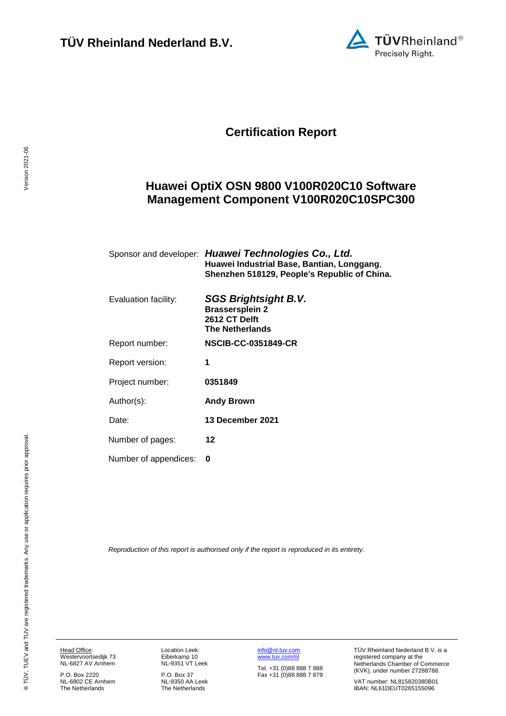

## **Certification Report**

## <span id="page-0-4"></span><span id="page-0-3"></span>**Huawei OptiX OSN 9800 V100R020C10 Software Management Component V100R020C10SPC300**

<span id="page-0-1"></span><span id="page-0-0"></span>

|                       | Sponsor and developer: Huawei Technologies Co., Ltd.<br>Huawei Industrial Base, Bantian, Longgang,<br>Shenzhen 518129, People's Republic of China. |
|-----------------------|----------------------------------------------------------------------------------------------------------------------------------------------------|
| Evaluation facility:  | <b>SGS Brightsight B.V.</b><br><b>Brassersplein 2</b><br>2612 CT Delft<br><b>The Netherlands</b>                                                   |
| Report number:        | <b>NSCIB-CC-0351849-CR</b>                                                                                                                         |
| Report version:       | 1                                                                                                                                                  |
| Project number:       | 0351849                                                                                                                                            |
| Author(s):            | <b>Andy Brown</b>                                                                                                                                  |
| Date:                 | 13 December 2021                                                                                                                                   |
| Number of pages:      | 12                                                                                                                                                 |
| Number of appendices: | 0                                                                                                                                                  |

<span id="page-0-2"></span>*Reproduction of this report is authorised only if the report is reproduced in its entirety.*

Version 2021-06

Version 2021-06

P.O. Box 2220 NL-6802 CE Arnhem The Netherlands

Location Leek: Eiberkamp 10 NL-9351 VT Leek

P.O. Box 37 NL-9350 AA Leek The Netherlands [info@nl.tuv.com](mailto:info@nl.tuv.com) [www.tuv.com/nl](http://www.tuv.com/nl)

Tel. +31 (0)88 888 7 888 Fax +31 (0)88 888 7 879 TÜV Rheinland Nederland B.V. is a registered company at the Netherlands Chamber of Commerce (KVK), under number 27288788.

VAT number: NL815820380B01 IBAN: NL61DEUT0265155096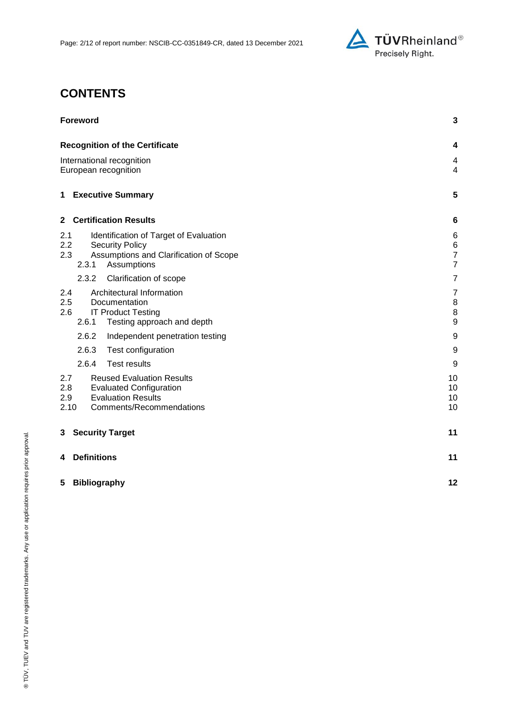

## **CONTENTS**

| <b>Foreword</b>                                                                                                                                          | 3                                                      |
|----------------------------------------------------------------------------------------------------------------------------------------------------------|--------------------------------------------------------|
| <b>Recognition of the Certificate</b>                                                                                                                    | 4                                                      |
| International recognition<br>European recognition                                                                                                        |                                                        |
| 1 Executive Summary                                                                                                                                      | 5                                                      |
| <b>Certification Results</b><br>$\mathbf{2}$                                                                                                             | 6                                                      |
| Identification of Target of Evaluation<br>2.1<br>2.2<br><b>Security Policy</b><br>2.3<br>Assumptions and Clarification of Scope<br>2.3.1<br>Assumptions  | 6<br>$\,6$<br>$\overline{7}$<br>$\overline{7}$         |
| 2.3.2<br>Clarification of scope                                                                                                                          | $\overline{7}$                                         |
| Architectural Information<br>2.4<br>2.5<br>Documentation<br><b>IT Product Testing</b><br>2.6<br>2.6.1<br>Testing approach and depth                      | $\overline{7}$<br>8<br>$\,$ 8 $\,$<br>$\boldsymbol{9}$ |
| 2.6.2<br>Independent penetration testing                                                                                                                 | 9                                                      |
| 2.6.3<br>Test configuration                                                                                                                              | 9                                                      |
| 2.6.4<br><b>Test results</b>                                                                                                                             | 9                                                      |
| 2.7<br><b>Reused Evaluation Results</b><br>2.8<br><b>Evaluated Configuration</b><br><b>Evaluation Results</b><br>2.9<br>2.10<br>Comments/Recommendations | 10<br>10<br>10<br>10                                   |
| <b>Security Target</b><br>3                                                                                                                              | 11                                                     |
| <b>Definitions</b><br>4                                                                                                                                  | 11                                                     |
| 5<br><b>Bibliography</b>                                                                                                                                 | 12                                                     |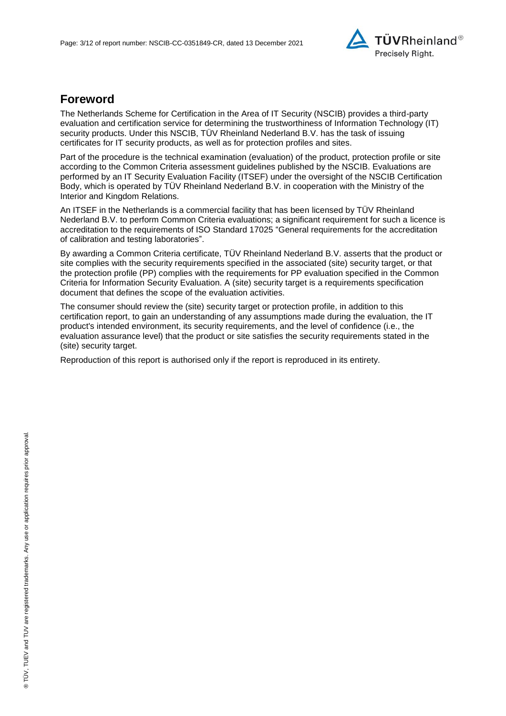

## **Foreword**

The Netherlands Scheme for Certification in the Area of IT Security (NSCIB) provides a third-party evaluation and certification service for determining the trustworthiness of Information Technology (IT) security products. Under this NSCIB, TÜV Rheinland Nederland B.V. has the task of issuing certificates for IT security products, as well as for protection profiles and sites.

Part of the procedure is the technical examination (evaluation) of the product, protection profile or site according to the Common Criteria assessment guidelines published by the NSCIB. Evaluations are performed by an IT Security Evaluation Facility (ITSEF) under the oversight of the NSCIB Certification Body, which is operated by TÜV Rheinland Nederland B.V. in cooperation with the Ministry of the Interior and Kingdom Relations.

An ITSEF in the Netherlands is a commercial facility that has been licensed by TÜV Rheinland Nederland B.V. to perform Common Criteria evaluations; a significant requirement for such a licence is accreditation to the requirements of ISO Standard 17025 "General requirements for the accreditation of calibration and testing laboratories".

By awarding a Common Criteria certificate, TÜV Rheinland Nederland B.V. asserts that the product or site complies with the security requirements specified in the associated (site) security target, or that the protection profile (PP) complies with the requirements for PP evaluation specified in the Common Criteria for Information Security Evaluation. A (site) security target is a requirements specification document that defines the scope of the evaluation activities.

The consumer should review the (site) security target or protection profile, in addition to this certification report, to gain an understanding of any assumptions made during the evaluation, the IT product's intended environment, its security requirements, and the level of confidence (i.e., the evaluation assurance level) that the product or site satisfies the security requirements stated in the (site) security target.

Reproduction of this report is authorised only if the report is reproduced in its entirety.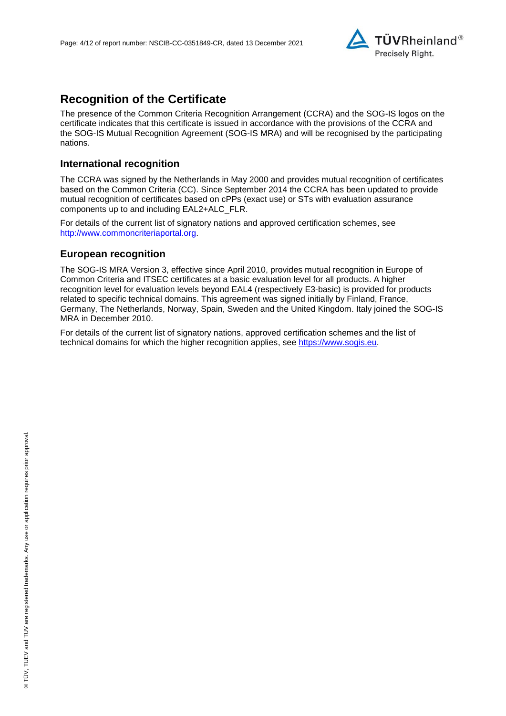

## **Recognition of the Certificate**

The presence of the Common Criteria Recognition Arrangement (CCRA) and the SOG-IS logos on the certificate indicates that this certificate is issued in accordance with the provisions of the CCRA and the SOG-IS Mutual Recognition Agreement (SOG-IS MRA) and will be recognised by the participating nations.

### **International recognition**

The CCRA was signed by the Netherlands in May 2000 and provides mutual recognition of certificates based on the Common Criteria (CC). Since September 2014 the CCRA has been updated to provide mutual recognition of certificates based on cPPs (exact use) or STs with evaluation assurance components up to and including EAL2+ALC\_FLR.

For details of the current list of signatory nations and approved certification schemes, see [http://www.commoncriteriaportal.org.](http://www.commoncriteriaportal.org/)

#### **European recognition**

The SOG-IS MRA Version 3, effective since April 2010, provides mutual recognition in Europe of Common Criteria and ITSEC certificates at a basic evaluation level for all products. A higher recognition level for evaluation levels beyond EAL4 (respectively E3-basic) is provided for products related to specific technical domains. This agreement was signed initially by Finland, France, Germany, The Netherlands, Norway, Spain, Sweden and the United Kingdom. Italy joined the SOG-IS MRA in December 2010.

For details of the current list of signatory nations, approved certification schemes and the list of technical domains for which the higher recognition applies, see [https://www.sogis.eu.](https://www.sogis.eu/)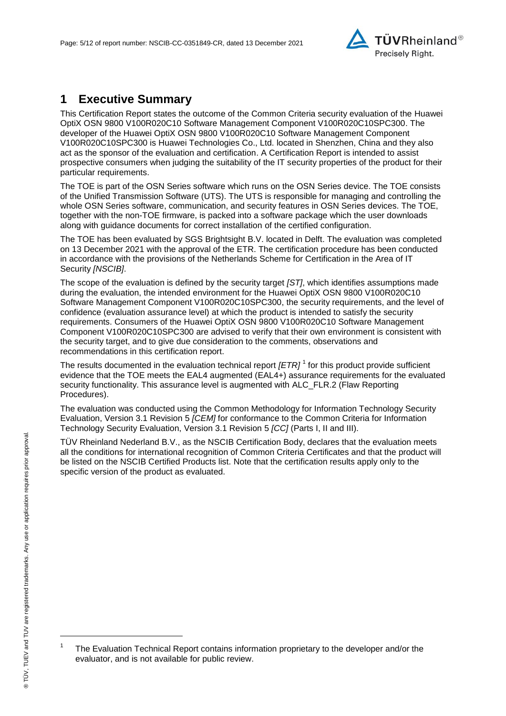<span id="page-4-2"></span>

## **1 Executive Summary**

This Certification Report states the outcome of the Common Criteria security evaluation of the [Huawei](#page-0-3)  [OptiX OSN 9800 V100R020C10 Software Management Component V100R020C10SPC300.](#page-0-3) The developer of the [Huawei OptiX OSN 9800 V100R020C10 Software Management Component](#page-0-3)  [V100R020C10SPC300](#page-0-3) is [Huawei Technologies Co., Ltd.](#page-0-4) located in Shenzhen, China and they also act as the sponsor of the evaluation and certification. A Certification Report is intended to assist prospective consumers when judging the suitability of the IT security properties of the product for their particular requirements.

The TOE is part of the OSN Series software which runs on the OSN Series device. The TOE consists of the Unified Transmission Software (UTS). The UTS is responsible for managing and controlling the whole OSN Series software, communication, and security features in OSN Series devices. The TOE, together with the non-TOE firmware, is packed into a software package which the user downloads along with guidance documents for correct installation of the certified configuration.

The TOE has been evaluated by SGS Brightsight B.V. located in Delft. The evaluation was completed on 13 December 2021 with the approval of the ETR. The certification procedure has been conducted in accordance with the provisions of the Netherlands Scheme for Certification in the Area of IT Security *[NSCIB]*.

The scope of the evaluation is defined by the security target *[ST]*, which identifies assumptions made during the evaluation, the intended environment for the [Huawei OptiX OSN 9800 V100R020C10](#page-0-3)  [Software Management Component V100R020C10SPC300,](#page-0-3) the security requirements, and the level of confidence (evaluation assurance level) at which the product is intended to satisfy the security requirements. Consumers of the [Huawei OptiX OSN 9800 V100R020C10 Software Management](#page-0-3)  [Component V100R020C10SPC300](#page-0-3) are advised to verify that their own environment is consistent with the security target, and to give due consideration to the comments, observations and recommendations in this certification report.

<span id="page-4-0"></span>The results documented in the evaluation technical report *[ETR]* <sup>1</sup> for this product provide sufficient evidence that the TOE meets the EAL4 augmented (EA[L4+](#page-4-0)) assurance requirements for the evaluated security functionality. This assurance level is augmented with ALC\_FLR.2 (Flaw Reporting Procedures).

<span id="page-4-1"></span>The evaluation was conducted using the Common Methodology for Information Technology Security Evaluation, Version 3.1 Revision 5 *[CEM]* for conformance to the Common Criteria for Information Technology Security Evaluation, Version 3.1 Revision [5](#page-4-1) *[CC]* (Parts I, II and III).

TÜV Rheinland Nederland B.V., as the NSCIB Certification Body, declares that the evaluation meets all the conditions for international recognition of Common Criteria Certificates and that the product will be listed on the NSCIB Certified Products list. Note that the certification results apply only to the specific version of the product as evaluated.

l

<sup>1</sup> The Evaluation Technical Report contains information proprietary to the developer and/or the evaluator, and is not available for public review.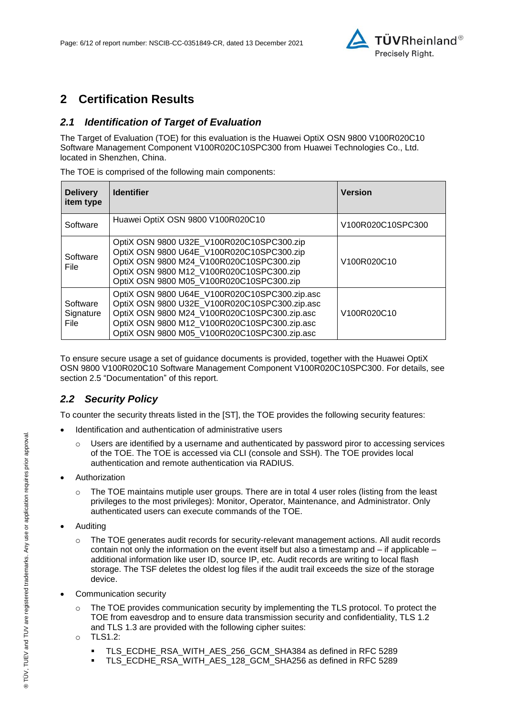

## **2 Certification Results**

### *2.1 Identification of Target of Evaluation*

The Target of Evaluation (TOE) for this evaluation is the [Huawei OptiX OSN 9800 V100R020C10](#page-0-3)  [Software Management Component V100R020C10SPC300](#page-0-3) from [Huawei Technologies Co., Ltd.](#page-0-4) located in [Shenzhen, China.](#page-4-2)

The TOE is comprised of the following main components:

| <b>Delivery</b><br>item type         | <b>Identifier</b>                                                                                                                                                                                                                              | <b>Version</b>                                    |
|--------------------------------------|------------------------------------------------------------------------------------------------------------------------------------------------------------------------------------------------------------------------------------------------|---------------------------------------------------|
| Software                             | Huawei OptiX OSN 9800 V100R020C10                                                                                                                                                                                                              | V100R020C10SPC300                                 |
| Software<br>File.                    | OptiX OSN 9800 U32E_V100R020C10SPC300.zip<br>OptiX OSN 9800 U64E_V100R020C10SPC300.zip<br>OptiX OSN 9800 M24_V100R020C10SPC300.zip<br>OptiX OSN 9800 M12_V100R020C10SPC300.zip<br>OptiX OSN 9800 M05_V100R020C10SPC300.zip                     | V <sub>100</sub> R <sub>020</sub> C <sub>10</sub> |
| Software<br>Signature<br><b>File</b> | OptiX OSN 9800 U64E_V100R020C10SPC300.zip.asc<br>OptiX OSN 9800 U32E V100R020C10SPC300.zip.asc<br>OptiX OSN 9800 M24 V100R020C10SPC300.zip.asc<br>OptiX OSN 9800 M12_V100R020C10SPC300.zip.asc<br>OptiX OSN 9800 M05_V100R020C10SPC300.zip.asc | V <sub>100</sub> R <sub>020</sub> C <sub>10</sub> |

To ensure secure usage a set of guidance documents is provided, together with the [Huawei OptiX](#page-0-3)  [OSN 9800 V100R020C10 Software Management Component V100R020C10SPC300.](#page-0-3) For details, see section [2.5](#page-7-0) ["Documentation"](#page-7-0) of this report.

### *2.2 Security Policy*

To counter the security threats listed in the [ST], the TOE provides the following security features:

- Identification and authentication of administrative users
	- $\circ$  Users are identified by a username and authenticated by password piror to accessing services of the TOE. The TOE is accessed via CLI (console and SSH). The TOE provides local authentication and remote authentication via RADIUS.
- Authorization
	- $\circ$  The TOE maintains mutiple user groups. There are in total 4 user roles (listing from the least privileges to the most privileges): Monitor, Operator, Maintenance, and Administrator. Only authenticated users can execute commands of the TOE.
- Auditing
	- o The TOE generates audit records for security-relevant management actions. All audit records contain not only the information on the event itself but also a timestamp and – if applicable – additional information like user ID, source IP, etc. Audit records are writing to local flash storage. The TSF deletes the oldest log files if the audit trail exceeds the size of the storage device.
- Communication security
	- The TOE provides communication security by implementing the TLS protocol. To protect the TOE from eavesdrop and to ensure data transmission security and confidentiality, TLS 1.2 and TLS 1.3 are provided with the following cipher suites:
	- o TLS1.2:
		- TLS\_ECDHE\_RSA\_WITH\_AES\_256\_GCM\_SHA384 as defined in RFC 5289
		- TLS\_ECDHE\_RSA\_WITH\_AES\_128\_GCM\_SHA256 as defined in RFC 5289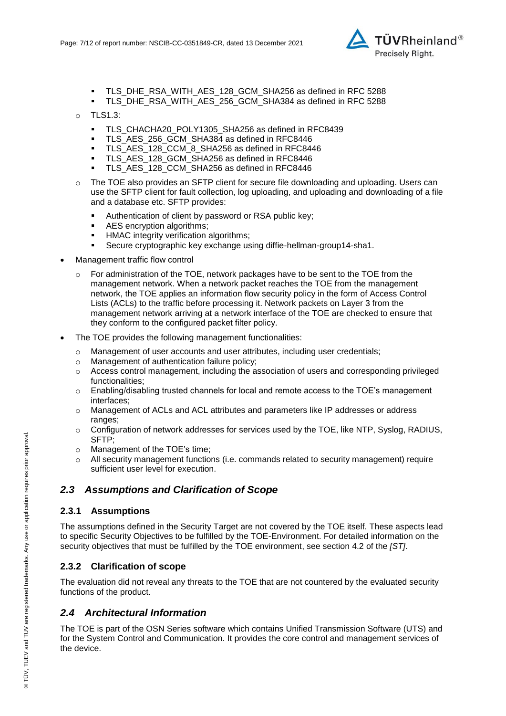

- TLS\_DHE\_RSA\_WITH\_AES\_128\_GCM\_SHA256 as defined in RFC 5288
- TLS\_DHE\_RSA\_WITH\_AES\_256\_GCM\_SHA384 as defined in RFC 5288
- o TLS1.3:
	- **TLS CHACHA20 POLY1305 SHA256 as defined in RFC8439**
	- TLS\_AES\_256\_GCM\_SHA384 as defined in RFC8446
	- TLS\_AES\_128\_CCM\_8\_SHA256 as defined in RFC8446
	- TLS\_AES\_128\_GCM\_SHA256 as defined in RFC8446
	- **TLS\_AES\_128\_CCM\_SHA256 as defined in RFC8446**
- o The TOE also provides an SFTP client for secure file downloading and uploading. Users can use the SFTP client for fault collection, log uploading, and uploading and downloading of a file and a database etc. SFTP provides:
	- Authentication of client by password or RSA public key;
	- AES encryption algorithms;
	- **-** HMAC integrity verification algorithms;
	- Secure cryptographic key exchange using diffie-hellman-group14-sha1.
- Management traffic flow control
	- For administration of the TOE, network packages have to be sent to the TOE from the management network. When a network packet reaches the TOE from the management network, the TOE applies an information flow security policy in the form of Access Control Lists (ACLs) to the traffic before processing it. Network packets on Layer 3 from the management network arriving at a network interface of the TOE are checked to ensure that they conform to the configured packet filter policy.
- The TOE provides the following management functionalities:
	- o Management of user accounts and user attributes, including user credentials;<br>
	o Management of authentication failure policy:
	- Management of authentication failure policy;
	- o Access control management, including the association of users and corresponding privileged functionalities;
	- o Enabling/disabling trusted channels for local and remote access to the TOE's management interfaces;
	- o Management of ACLs and ACL attributes and parameters like IP addresses or address ranges;
	- o Configuration of network addresses for services used by the TOE, like NTP, Syslog, RADIUS, SFTP;
	- o Management of the TOE's time;
	- $\circ$  All security management functions (i.e. commands related to security management) require sufficient user level for execution.

### *2.3 Assumptions and Clarification of Scope*

#### **2.3.1 Assumptions**

The assumptions defined in the Security Target are not covered by the TOE itself. These aspects lead to specific Security Objectives to be fulfilled by the TOE-Environment. For detailed information on the security objectives that must be fulfilled by the TOE environment, see section 4.2 of the *[ST]*.

#### **2.3.2 Clarification of scope**

The evaluation did not reveal any threats to the TOE that are not countered by the evaluated security functions of the product.

#### *2.4 Architectural Information*

The TOE is part of the OSN Series software which contains Unified Transmission Software (UTS) and for the System Control and Communication. It provides the core control and management services of the device.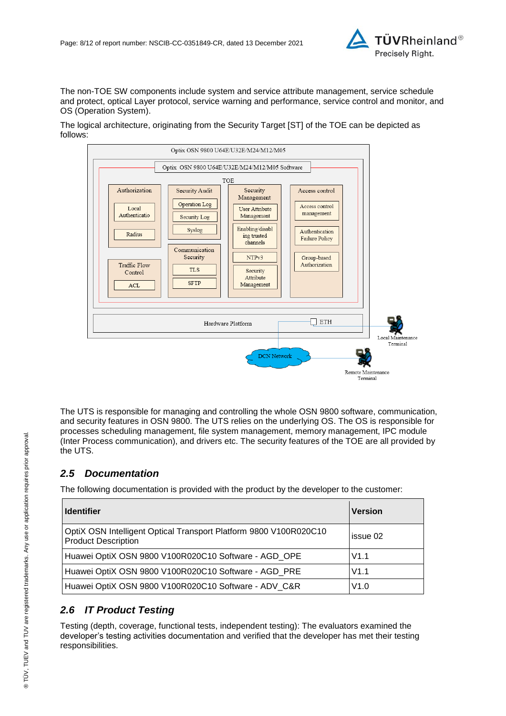

The non-TOE SW components include system and service attribute management, service schedule and protect, optical Layer protocol, service warning and performance, service control and monitor, and OS (Operation System).

The logical architecture, originating from the Security Target [ST] of the TOE can be depicted as follows:



The UTS is responsible for managing and controlling the whole OSN 9800 software, communication, and security features in OSN 9800. The UTS relies on the underlying OS. The OS is responsible for processes scheduling management, file system management, memory management, IPC module (Inter Process communication), and drivers etc. The security features of the TOE are all provided by the UTS.

### <span id="page-7-0"></span>*2.5 Documentation*

The following documentation is provided with the product by the developer to the customer:

| <b>Identifier</b>                                                                               | <b>Version</b> |
|-------------------------------------------------------------------------------------------------|----------------|
| OptiX OSN Intelligent Optical Transport Platform 9800 V100R020C10<br><b>Product Description</b> | issue 02       |
| Huawei OptiX OSN 9800 V100R020C10 Software - AGD_OPE                                            | V1.1           |
| Huawei OptiX OSN 9800 V100R020C10 Software - AGD PRE                                            | V1.1           |
| Huawei OptiX OSN 9800 V100R020C10 Software - ADV_C&R                                            | V1.0           |

## *2.6 IT Product Testing*

Testing (depth, coverage, functional tests, independent testing): The evaluators examined the developer's testing activities documentation and verified that the developer has met their testing responsibilities.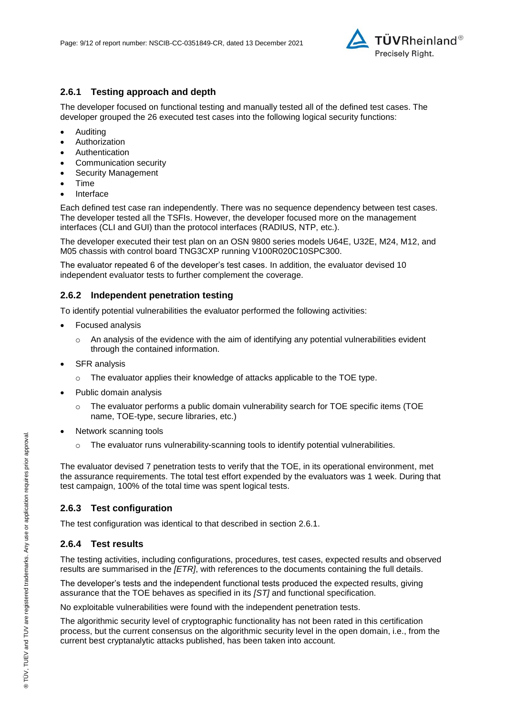

### **2.6.1 Testing approach and depth**

The developer focused on functional testing and manually tested all of the defined test cases. The developer grouped the 26 executed test cases into the following logical security functions:

- Auditing
- Authorization
- Authentication
- Communication security
- Security Management
- Time
- Interface

Each defined test case ran independently. There was no sequence dependency between test cases. The developer tested all the TSFIs. However, the developer focused more on the management interfaces (CLI and GUI) than the protocol interfaces (RADIUS, NTP, etc.).

The developer executed their test plan on an OSN 9800 series models U64E, U32E, M24, M12, and M05 chassis with control board TNG3CXP running V100R020C10SPC300.

The evaluator repeated 6 of the developer's test cases. In addition, the evaluator devised 10 independent evaluator tests to further complement the coverage.

#### **2.6.2 Independent penetration testing**

To identify potential vulnerabilities the evaluator performed the following activities:

- Focused analysis
	- $\circ$  An analysis of the evidence with the aim of identifying any potential vulnerabilities evident through the contained information.
- SFR analysis
	- $\circ$  The evaluator applies their knowledge of attacks applicable to the TOE type.
- Public domain analysis
	- $\circ$  The evaluator performs a public domain vulnerability search for TOE specific items (TOE name, TOE-type, secure libraries, etc.)
- Network scanning tools
	- $\circ$  The evaluator runs vulnerability-scanning tools to identify potential vulnerabilities.

The evaluator devised 7 penetration tests to verify that the TOE, in its operational environment, met the assurance requirements. The total test effort expended by the evaluators was 1 week. During that test campaign, 100% of the total time was spent logical tests.

#### **2.6.3 Test configuration**

The test configuration was identical to that described in section 2.6.1.

### **2.6.4 Test results**

The testing activities, including configurations, procedures, test cases, expected results and observed results are summarised in the *[ETR]*, with references to the documents containing the full details.

The developer's tests and the independent functional tests produced the expected results, giving assurance that the TOE behaves as specified in its *[ST]* and functional specification.

No exploitable vulnerabilities were found with the independent penetration tests.

The algorithmic security level of cryptographic functionality has not been rated in this certification process, but the current consensus on the algorithmic security level in the open domain, i.e., from the current best cryptanalytic attacks published, has been taken into account.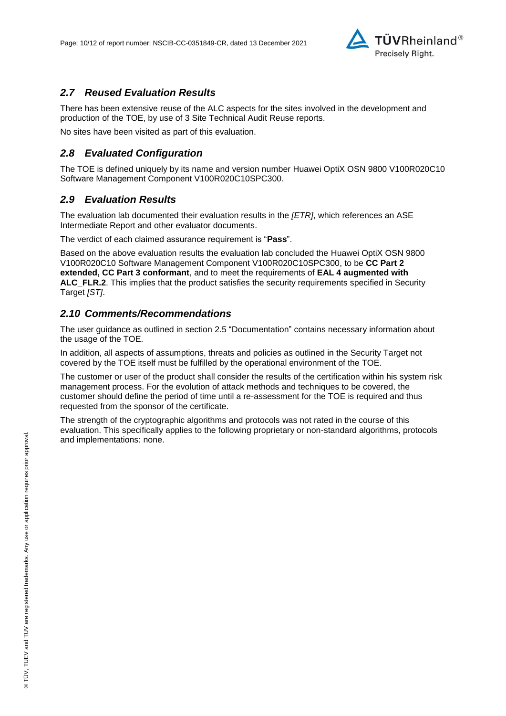

### *2.7 Reused Evaluation Results*

There has been extensive reuse of the ALC aspects for the sites involved in the development and production of the TOE, by use of 3 Site Technical Audit Reuse reports.

No sites have been visited as part of this evaluation.

### *2.8 Evaluated Configuration*

The TOE is defined uniquely by its name and version number [Huawei OptiX OSN 9800 V100R020C10](#page-0-3)  [Software Management Component V100R020C10SPC300.](#page-0-3)

### *2.9 Evaluation Results*

The evaluation lab documented their evaluation results in the *[ETR]*, which references an ASE Intermediate Report and other evaluator documents.

The verdict of each claimed assurance requirement is "**Pass**".

Based on the above evaluation results the evaluation lab concluded the [Huawei OptiX OSN 9800](#page-0-3)  [V100R020C10 Software Management Component V100R020C10SPC300,](#page-0-3) to be **CC Part 2 extended, CC Part 3 conformant**, and to meet the requirements of **EAL [4](#page-4-0) augmented with ALC\_FLR.2**. This implies that the product satisfies the security requirements specified in Security Target *[ST]*.

### *2.10 Comments/Recommendations*

The user guidance as outlined in section [2.5](#page-7-0) ["Documentation"](#page-7-0) contains necessary information about the usage of the TOE.

In addition, all aspects of assumptions, threats and policies as outlined in the Security Target not covered by the TOE itself must be fulfilled by the operational environment of the TOE.

The customer or user of the product shall consider the results of the certification within his system risk management process. For the evolution of attack methods and techniques to be covered, the customer should define the period of time until a re-assessment for the TOE is required and thus requested from the sponsor of the certificate.

The strength of the cryptographic algorithms and protocols was not rated in the course of this evaluation. This specifically applies to the following proprietary or non-standard algorithms, protocols and implementations: none.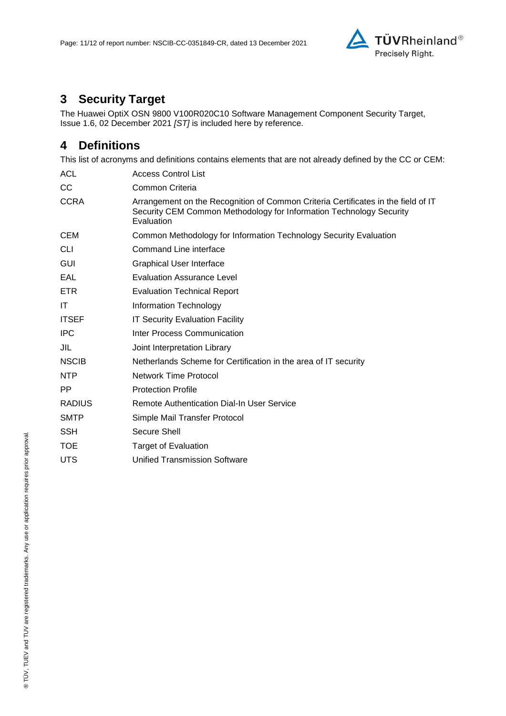

# **3 Security Target**

The [Huawei OptiX OSN 9800 V100R020C10 Software Management Component Security Target,](#page-11-0)  [Issue 1.6, 02 December 2021](#page-11-0) *[ST]* is included here by reference.

## **4 Definitions**

This list of acronyms and definitions contains elements that are not already defined by the CC or CEM:

| <b>ACL</b>    | <b>Access Control List</b>                                                                                                                                             |
|---------------|------------------------------------------------------------------------------------------------------------------------------------------------------------------------|
| cc            | Common Criteria                                                                                                                                                        |
| <b>CCRA</b>   | Arrangement on the Recognition of Common Criteria Certificates in the field of IT<br>Security CEM Common Methodology for Information Technology Security<br>Evaluation |
| <b>CEM</b>    | Common Methodology for Information Technology Security Evaluation                                                                                                      |
| <b>CLI</b>    | Command Line interface                                                                                                                                                 |
| GUI           | <b>Graphical User Interface</b>                                                                                                                                        |
| EAL           | <b>Evaluation Assurance Level</b>                                                                                                                                      |
| ETR.          | <b>Evaluation Technical Report</b>                                                                                                                                     |
| IT            | Information Technology                                                                                                                                                 |
| <b>ITSEF</b>  | <b>IT Security Evaluation Facility</b>                                                                                                                                 |
| <b>IPC</b>    | Inter Process Communication                                                                                                                                            |
| JIL           | Joint Interpretation Library                                                                                                                                           |
| <b>NSCIB</b>  | Netherlands Scheme for Certification in the area of IT security                                                                                                        |
| <b>NTP</b>    | Network Time Protocol                                                                                                                                                  |
| PP.           | <b>Protection Profile</b>                                                                                                                                              |
| <b>RADIUS</b> | Remote Authentication Dial-In User Service                                                                                                                             |
| <b>SMTP</b>   | Simple Mail Transfer Protocol                                                                                                                                          |
| <b>SSH</b>    | Secure Shell                                                                                                                                                           |
| <b>TOE</b>    | <b>Target of Evaluation</b>                                                                                                                                            |
| <b>UTS</b>    | <b>Unified Transmission Software</b>                                                                                                                                   |